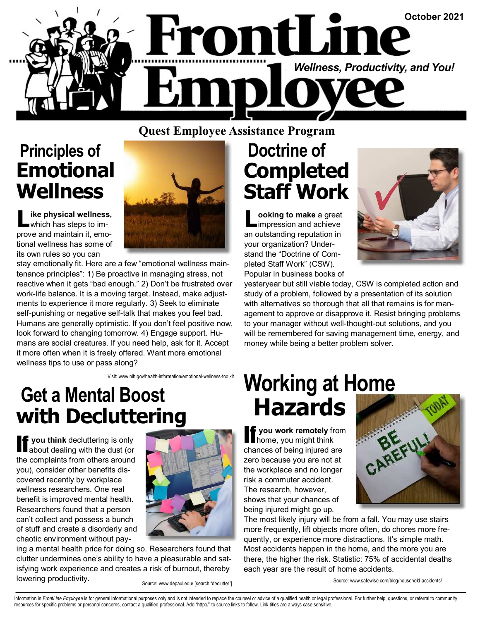

#### **Quest Employee Assistance Program**

### **Principles of Emotional Wellness**

**ike physical wellness,** which has steps to improve and maintain it, emotional wellness has some of its own rules so you can



stay emotionally fit. Here are a few "emotional wellness maintenance principles": 1) Be proactive in managing stress, not reactive when it gets "bad enough." 2) Don't be frustrated over work-life balance. It is a moving target. Instead, make adjustments to experience it more regularly. 3) Seek to eliminate self-punishing or negative self-talk that makes you feel bad. Humans are generally optimistic. If you don't feel positive now, look forward to changing tomorrow. 4) Engage support. Humans are social creatures. If you need help, ask for it. Accept it more often when it is freely offered. Want more emotional wellness tips to use or pass along?

Visit: www.nih.gov/health-information/emotional-wellness-toolkit

### **Get a Mental Boost with Decluttering**

If **you think** decluttering is only about dealing with the dust (or the complaints from others around you), consider other benefits discovered recently by workplace wellness researchers. One real benefit is improved mental health. Researchers found that a person can't collect and possess a bunch of stuff and create a disorderly and chaotic environment without pay-



ing a mental health price for doing so. Researchers found that clutter undermines one's ability to have a pleasurable and satisfying work experience and creates a risk of burnout, thereby lowering productivity.

Source: www.depaul.edu/ [search "declutter"]

### **Doctrine of Completed Staff Work**

**L ooking to make** a great impression and achieve an outstanding reputation in your organization? Understand the "Doctrine of Completed Staff Work" (CSW). Popular in business books of



yesteryear but still viable today, CSW is completed action and study of a problem, followed by a presentation of its solution with alternatives so thorough that all that remains is for management to approve or disapprove it. Resist bringing problems to your manager without well-thought-out solutions, and you will be remembered for saving management time, energy, and money while being a better problem solver.

# **Working at Home Hazards**

**If you work remotely** from<br>
home, you might think chances of being injured are zero because you are not at the workplace and no longer risk a commuter accident. The research, however, shows that your chances of being injured might go up.



The most likely injury will be from a fall. You may use stairs more frequently, lift objects more often, do chores more frequently, or experience more distractions. It's simple math. Most accidents happen in the home, and the more you are there, the higher the risk. Statistic: 75% of accidental deaths each year are the result of home accidents.

Source: www.safewise.com/blog/household-accidents/

Information in FrontLine Employee is for general informational purposes only and is not intended to replace the counsel or advice of a qualified health or legal professional. For further help, questions, or referral to com resources for specific problems or personal concerns, contact a qualified professional. Add "http://" to source links to follow. Link titles are always case sensitive.